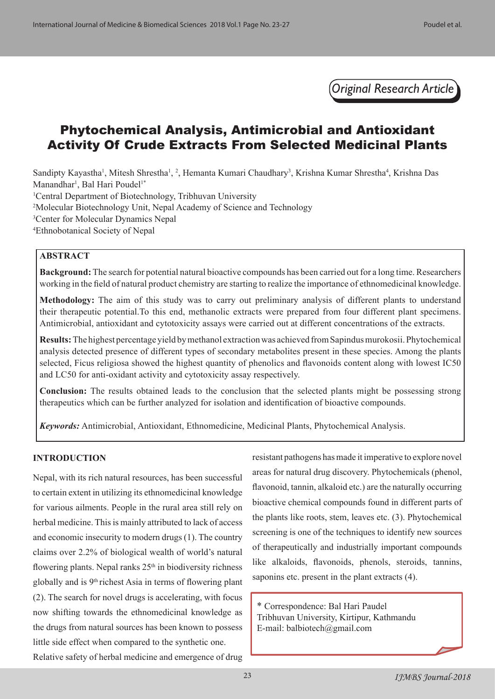*Original Research Article*

# Phytochemical Analysis, Antimicrobial and Antioxidant Activity Of Crude Extracts From Selected Medicinal Plants

Sandipty Kayastha<sup>1</sup>, Mitesh Shrestha<sup>1</sup>, <sup>2</sup>, Hemanta Kumari Chaudhary<sup>3</sup>, Krishna Kumar Shrestha<sup>4</sup>, Krishna Das Manandhar<sup>1</sup>, Bal Hari Poudel<sup>1\*</sup>

1 Central Department of Biotechnology, Tribhuvan University

2 Molecular Biotechnology Unit, Nepal Academy of Science and Technology

3 Center for Molecular Dynamics Nepal

4 Ethnobotanical Society of Nepal

## **ABSTRACT**

**Background:** The search for potential natural bioactive compounds has been carried out for a long time. Researchers working in the field of natural product chemistry are starting to realize the importance of ethnomedicinal knowledge.

**Methodology:** The aim of this study was to carry out preliminary analysis of different plants to understand their therapeutic potential.To this end, methanolic extracts were prepared from four different plant specimens. Antimicrobial, antioxidant and cytotoxicity assays were carried out at different concentrations of the extracts.

**Results:** The highest percentage yield by methanol extraction was achieved from Sapindus murokosii. Phytochemical analysis detected presence of different types of secondary metabolites present in these species. Among the plants selected, Ficus religiosa showed the highest quantity of phenolics and flavonoids content along with lowest IC50 and LC50 for anti-oxidant activity and cytotoxicity assay respectively.

**Conclusion:** The results obtained leads to the conclusion that the selected plants might be possessing strong therapeutics which can be further analyzed for isolation and identification of bioactive compounds.

*Keywords:* Antimicrobial, Antioxidant, Ethnomedicine, Medicinal Plants, Phytochemical Analysis.

#### **INTRODUCTION**

Nepal, with its rich natural resources, has been successful to certain extent in utilizing its ethnomedicinal knowledge for various ailments. People in the rural area still rely on herbal medicine. This is mainly attributed to lack of access and economic insecurity to modern drugs (1). The country claims over 2.2% of biological wealth of world's natural flowering plants. Nepal ranks  $25<sup>th</sup>$  in biodiversity richness globally and is 9th richest Asia in terms of flowering plant (2). The search for novel drugs is accelerating, with focus now shifting towards the ethnomedicinal knowledge as the drugs from natural sources has been known to possess little side effect when compared to the synthetic one. Relative safety of herbal medicine and emergence of drug

resistant pathogens has made it imperative to explore novel areas for natural drug discovery. Phytochemicals (phenol, flavonoid, tannin, alkaloid etc.) are the naturally occurring bioactive chemical compounds found in different parts of the plants like roots, stem, leaves etc. (3). Phytochemical screening is one of the techniques to identify new sources of therapeutically and industrially important compounds like alkaloids, flavonoids, phenols, steroids, tannins, saponins etc. present in the plant extracts (4).

\* Correspondence: Bal Hari Paudel Tribhuvan University, Kirtipur, Kathmandu E-mail: balbiotech@gmail.com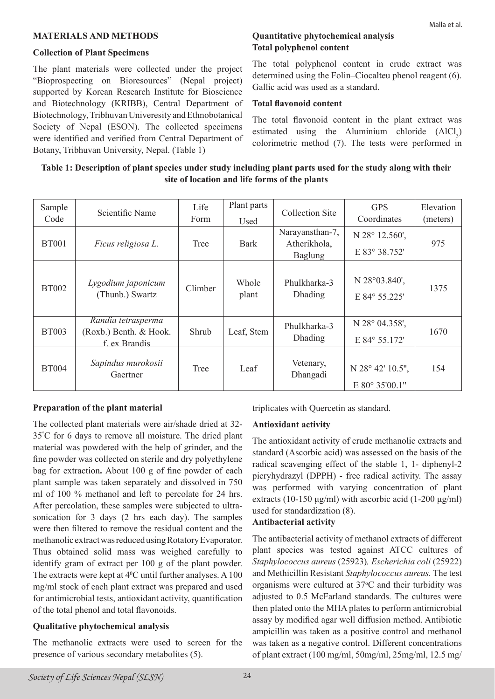#### **MATERIALS AND METHODS**

#### **Collection of Plant Specimens**

The plant materials were collected under the project "Bioprospecting on Bioresources" (Nepal project) supported by Korean Research Institute for Bioscience and Biotechnology (KRIBB), Central Department of Biotechnology, Tribhuvan Univeresity and Ethnobotanical Society of Nepal (ESON). The collected specimens were identified and verified from Central Department of Botany, Tribhuvan University, Nepal. (Table 1)

#### **Quantitative phytochemical analysis Total polyphenol content**

The total polyphenol content in crude extract was determined using the Folin–Ciocalteu phenol reagent (6). Gallic acid was used as a standard.

#### **Total flavonoid content**

The total flavonoid content in the plant extract was estimated using the Aluminium chloride  $(AICI_3)$ colorimetric method (7). The tests were performed in

## **Table 1: Description of plant species under study including plant parts used for the study along with their site of location and life forms of the plants**

| Sample<br>Code | Scientific Name                                               | Life<br>Form | Plant parts<br>Used | <b>Collection Site</b>                            | <b>GPS</b><br>Coordinates          | Elevation<br>(meters) |  |
|----------------|---------------------------------------------------------------|--------------|---------------------|---------------------------------------------------|------------------------------------|-----------------------|--|
| <b>BT001</b>   | Ficus religiosa L.                                            | Tree         | <b>Bark</b>         | Narayansthan-7,<br>Atherikhola,<br><b>Baglung</b> | N 28° 12.560',<br>E 83° 38.752'    | 975                   |  |
| <b>BT002</b>   | Lygodium japonicum<br>(Thunb.) Swartz                         | Climber      | Whole<br>plant      | Phulkharka-3<br>Dhading                           | N 28°03.840',<br>E 84° 55.225'     | 1375                  |  |
| <b>BT003</b>   | Randia tetrasperma<br>(Roxb.) Benth. & Hook.<br>f. ex Brandis | Shrub        | Leaf, Stem          | Phulkharka-3<br>Dhading                           | N 28° 04.358',<br>E 84° 55.172'    | 1670                  |  |
| <b>BT004</b>   | Sapindus murokosii<br>Gaertner                                | Tree         | Leaf                | Vetenary,<br>Dhangadi                             | N 28° 42' 10.5".<br>E 80° 35'00.1" | 154                   |  |

#### **Preparation of the plant material**

The collected plant materials were air/shade dried at 32- 35° C for 6 days to remove all moisture. The dried plant material was powdered with the help of grinder, and the fine powder was collected on sterile and dry polyethylene bag for extraction**.** About 100 g of fine powder of each plant sample was taken separately and dissolved in 750 ml of 100 % methanol and left to percolate for 24 hrs. After percolation, these samples were subjected to ultrasonication for 3 days (2 hrs each day). The samples were then filtered to remove the residual content and the methanolic extract was reduced using Rotatory Evaporator. Thus obtained solid mass was weighed carefully to identify gram of extract per 100 g of the plant powder. The extracts were kept at  $4^{\circ}$ C until further analyses. A 100 mg/ml stock of each plant extract was prepared and used for antimicrobial tests, antioxidant activity, quantification of the total phenol and total flavonoids.

#### **Qualitative phytochemical analysis**

The methanolic extracts were used to screen for the presence of various secondary metabolites (5).

triplicates with Quercetin as standard.

#### **Antioxidant activity**

The antioxidant activity of crude methanolic extracts and standard (Ascorbic acid) was assessed on the basis of the radical scavenging effect of the stable 1, 1- diphenyl-2 picryhydrazyl (DPPH) - free radical activity. The assay was performed with varying concentration of plant extracts (10-150  $\mu$ g/ml) with ascorbic acid (1-200  $\mu$ g/ml) used for standardization (8).

#### **Antibacterial activity**

The antibacterial activity of methanol extracts of different plant species was tested against ATCC cultures of *Staphylococcus aureus* (25923)*, Escherichia coli* (25922) and Methicillin Resistant *Staphylococcus aureus.* The test organisms were cultured at 37°C and their turbidity was adjusted to 0.5 McFarland standards. The cultures were then plated onto the MHA plates to perform antimicrobial assay by modified agar well diffusion method. Antibiotic ampicillin was taken as a positive control and methanol was taken as a negative control. Different concentrations of plant extract (100 mg/ml, 50mg/ml, 25mg/ml, 12.5 mg/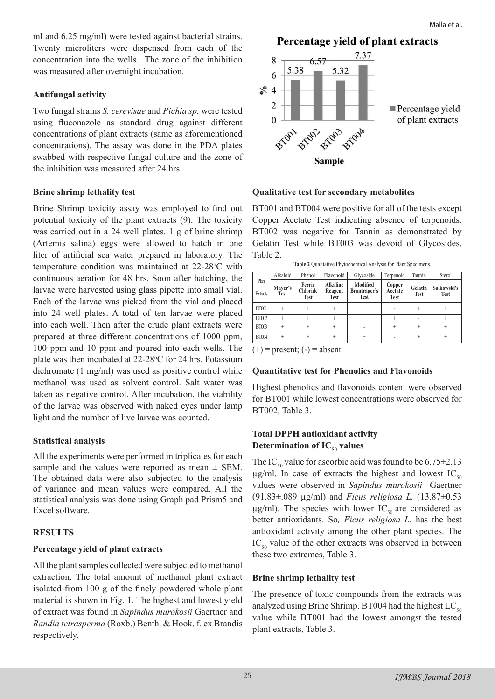ml and 6.25 mg/ml) were tested against bacterial strains. Twenty microliters were dispensed from each of the concentration into the wells. The zone of the inhibition was measured after overnight incubation.

## **Antifungal activity**

Two fungal strains *S. cerevisae* and *Pichia sp.* were tested using fluconazole as standard drug against different concentrations of plant extracts (same as aforementioned concentrations). The assay was done in the PDA plates swabbed with respective fungal culture and the zone of the inhibition was measured after 24 hrs.

#### **Brine shrimp lethality test**

Brine Shrimp toxicity assay was employed to find out potential toxicity of the plant extracts (9). The toxicity was carried out in a 24 well plates. 1 g of brine shrimp (Artemis salina) eggs were allowed to hatch in one liter of artificial sea water prepared in laboratory. The temperature condition was maintained at 22-28°C with continuous aeration for 48 hrs. Soon after hatching, the larvae were harvested using glass pipette into small vial. Each of the larvae was picked from the vial and placed into 24 well plates. A total of ten larvae were placed into each well. Then after the crude plant extracts were prepared at three different concentrations of 1000 ppm, 100 ppm and 10 ppm and poured into each wells. The plate was then incubated at 22-28°C for 24 hrs. Potassium dichromate (1 mg/ml) was used as positive control while methanol was used as solvent control. Salt water was taken as negative control. After incubation, the viability of the larvae was observed with naked eyes under lamp light and the number of live larvae was counted.

## **Statistical analysis**

All the experiments were performed in triplicates for each sample and the values were reported as mean  $\pm$  SEM. The obtained data were also subjected to the analysis of variance and mean values were compared. All the statistical analysis was done using Graph pad Prism5 and Excel software.

## **RESULTS**

## **Percentage yield of plant extracts**

All the plant samples collected were subjected to methanol extraction. The total amount of methanol plant extract isolated from 100 g of the finely powdered whole plant material is shown in Fig. 1. The highest and lowest yield of extract was found in *Sapindus murokosii* Gaertner and *Randia tetrasperma* (Roxb.) Benth. & Hook. f. ex Brandis respectively.

Percentage vield of plant extracts



#### **Qualitative test for secondary metabolites**

BT001 and BT004 were positive for all of the tests except Copper Acetate Test indicating absence of terpenoids. BT002 was negative for Tannin as demonstrated by Gelatin Test while BT003 was devoid of Glycosides, Table 2.

**Table 2** Qualitative Phytochemical Analysis for Plant Specimens.

|                          | Alkaloid               | Phenol                            | Flavonoid                                 | Glycoside                               | Terpenoid                        | Tannin                 | Sterol                     |
|--------------------------|------------------------|-----------------------------------|-------------------------------------------|-----------------------------------------|----------------------------------|------------------------|----------------------------|
| Plant<br><b>Extracts</b> | Mayer's<br><b>Test</b> | Ferric<br><b>Chloride</b><br>Test | <b>Alkaline</b><br>Reagent<br><b>Test</b> | Modified<br>Brontrager's<br><b>Test</b> | Copper<br>Acetate<br><b>Test</b> | Gelatin<br><b>Test</b> | Salkowski's<br><b>Test</b> |
| <b>BT001</b>             |                        | $^{+}$                            |                                           |                                         |                                  |                        | $\ddot{}$                  |
| <b>BT002</b>             | $+$                    | $+$                               |                                           | $\ddot{}$                               | $+$                              |                        | $+$                        |
| <b>BT003</b>             |                        | $^{+}$                            |                                           |                                         | $\ddot{}$                        |                        |                            |
| <b>BT004</b>             |                        | $^{+}$                            |                                           | ÷                                       |                                  | $\div$                 |                            |
| (1)                      |                        |                                   |                                           |                                         |                                  |                        |                            |

 $(+)$  = present;  $(-)$  = absent

#### **Quantitative test for Phenolics and Flavonoids**

Highest phenolics and flavonoids content were observed for BT001 while lowest concentrations were observed for BT002, Table 3.

## **Total DPPH antioxidant activity Determination of**  $IC_{50}$  **values**

The IC<sub>50</sub> value for ascorbic acid was found to be  $6.75\pm2.13$  $\mu$ g/ml. In case of extracts the highest and lowest IC<sub>50</sub> values were observed in *Sapindus murokosii* Gaertner (91.83±.089 µg/ml) and *Ficus religiosa L.* (13.87±0.53  $\mu$ g/ml). The species with lower IC<sub>50</sub> are considered as better antioxidants. So*, Ficus religiosa L.* has the best antioxidant activity among the other plant species. The  $IC_{50}$  value of the other extracts was observed in between these two extremes, Table 3.

#### **Brine shrimp lethality test**

The presence of toxic compounds from the extracts was analyzed using Brine Shrimp. BT004 had the highest  $LC_{50}$ value while BT001 had the lowest amongst the tested plant extracts, Table 3.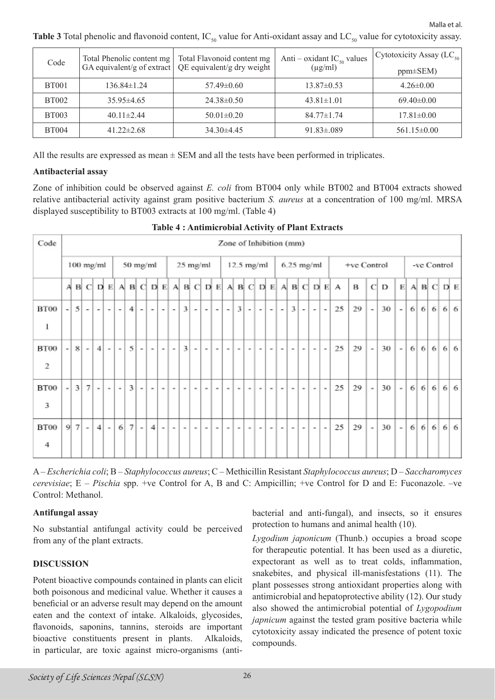Malla et al.

**Table 3** Total phenolic and flavonoid content,  $IC_{50}$  value for Anti-oxidant assay and  $LC_{50}$  value for cytotoxicity assay.

| Code         | Total Phenolic content mg | Total Flavonoid content mg<br>GA equivalent/g of extract $\sqrt{QE}$ equivalent/g dry weight | Anti – oxidant $IC_{50}$ values<br>$(\mu g/ml)$ | Cytotoxicity Assay (LC <sub>50</sub> )<br>$ppm\pm SEM$ ) |
|--------------|---------------------------|----------------------------------------------------------------------------------------------|-------------------------------------------------|----------------------------------------------------------|
|              |                           |                                                                                              |                                                 |                                                          |
| <b>BT001</b> | $136.84 \pm 1.24$         | $57.49 \pm 0.60$                                                                             | $13.87 \pm 0.53$                                | $4.26\pm0.00$                                            |
| <b>BT002</b> | $35.95\pm4.65$            | $24.38 \pm 0.50$                                                                             | $43.81 \pm 1.01$                                | $69.40 \pm 0.00$                                         |
| <b>BT003</b> | $40.11 \pm 2.44$          | $50.01 \pm 0.20$                                                                             | $84.77 \pm 1.74$                                | $17.81 \pm 0.00$                                         |
| <b>BT004</b> | $41.22 \pm 2.68$          | $34.30\pm4.45$                                                                               | $91.83 \pm 0.089$                               | $561.15 \pm 0.00$                                        |

All the results are expressed as mean  $\pm$  SEM and all the tests have been performed in triplicates.

#### **Antibacterial assay**

Zone of inhibition could be observed against *E. coli* from BT004 only while BT002 and BT004 extracts showed relative antibacterial activity against gram positive bacterium *S. aureus* at a concentration of 100 mg/ml. MRSA displayed susceptibility to BT003 extracts at 100 mg/ml. (Table 4)

| Code |                          | Zone of Inhibition (mm) |                          |                          |                          |                          |                |                          |                          |                          |                          |               |                |                          |                          |                          |                          |   |                          |              |                          |                         |                          |        |                          |                                             |    |                          |             |                          |   |   |                                     |  |     |
|------|--------------------------|-------------------------|--------------------------|--------------------------|--------------------------|--------------------------|----------------|--------------------------|--------------------------|--------------------------|--------------------------|---------------|----------------|--------------------------|--------------------------|--------------------------|--------------------------|---|--------------------------|--------------|--------------------------|-------------------------|--------------------------|--------|--------------------------|---------------------------------------------|----|--------------------------|-------------|--------------------------|---|---|-------------------------------------|--|-----|
|      | $100$ mg/ml<br>50 mg/ml  |                         |                          |                          |                          |                          |                |                          |                          |                          | 25 mg/ml                 |               | $12.5$ mg/ml   |                          |                          |                          |                          |   |                          |              | $6.25$ mg/ml             |                         | +ve Control              |        |                          |                                             |    |                          | -ve Control |                          |   |   |                                     |  |     |
|      | А                        |                         | B C D E                  |                          |                          |                          | $A$ $B$ $C$    |                          |                          |                          |                          |               |                |                          |                          |                          |                          |   |                          | DEABCDEABCDE |                          |                         |                          |        |                          | $A \cdot B \cdot C \cdot D \cdot E \cdot A$ | В  | $\mathbf C$              | D           | E                        |   |   | $A \cdot B \cdot C \cdot D \cdot E$ |  |     |
| BT00 | $\overline{\phantom{a}}$ | $\overline{5}$          | $\tilde{\phantom{a}}$    | $\overline{\phantom{a}}$ | ۰                        | $\overline{\phantom{a}}$ | 41             | $\overline{\phantom{a}}$ | $\overline{\phantom{a}}$ | $\overline{\phantom{a}}$ | $\overline{\phantom{a}}$ | $\frac{3}{2}$ | $\overline{a}$ | $\overline{\phantom{a}}$ | ٠                        | $\overline{\phantom{a}}$ | $\overline{3}$           | ۰ | $\overline{\phantom{a}}$ | ۰            | $\overline{\phantom{a}}$ | $\overline{\mathbf{3}}$ | $\overline{\phantom{a}}$ | ۰.     | $\overline{\phantom{a}}$ | 25                                          | 29 | $\overline{\phantom{a}}$ | 30          | $\overline{\phantom{a}}$ | 6 | 6 | 6                                   |  | 6 6 |
| 1    |                          |                         |                          |                          |                          |                          |                |                          |                          |                          |                          |               |                |                          |                          |                          |                          |   |                          |              |                          |                         |                          |        |                          |                                             |    |                          |             |                          |   |   |                                     |  |     |
| BT00 | $\overline{\phantom{0}}$ | 8                       | $\overline{\phantom{a}}$ | 41                       | $\blacksquare$           | $\overline{\phantom{a}}$ | $\frac{5}{3}$  | $\overline{\phantom{a}}$ | $\overline{\phantom{a}}$ | -                        | $\sim$                   | 3             | $\overline{a}$ | $\overline{\phantom{a}}$ | $\overline{\phantom{a}}$ | $\overline{\phantom{a}}$ | $\overline{\phantom{a}}$ |   | $\overline{\phantom{a}}$ | -            | $\overline{\phantom{a}}$ | - 11                    | $\overline{\phantom{a}}$ | $\sim$ | $\overline{\phantom{a}}$ | 25                                          | 29 | $\overline{\phantom{a}}$ | 30          | $\overline{a}$           | 6 | 6 | 6                                   |  | 6 6 |
| 2    |                          |                         |                          |                          |                          |                          |                |                          |                          |                          |                          |               |                |                          |                          |                          |                          |   |                          |              |                          |                         |                          |        |                          |                                             |    |                          |             |                          |   |   |                                     |  |     |
| BT00 | $\overline{a}$           | $\vert$ 3               | 7                        | ۰                        | $\overline{\phantom{a}}$ | $\overline{\phantom{a}}$ | 3              | $\blacksquare$           | ۰                        | ۰                        | ۰                        | ۰             | ۰              | $\,$                     | $\blacksquare$           | $\,$                     | $\overline{\phantom{a}}$ | ۰ | $\,$                     | ۰            | $\blacksquare$           | ۰                       | $\blacksquare$           | ۰      | $\blacksquare$           | 25                                          | 29 | $\overline{\phantom{a}}$ | 30          | $\overline{\phantom{a}}$ | 6 | 6 | 6                                   |  | 6 6 |
| 3    |                          |                         |                          |                          |                          |                          |                |                          |                          |                          |                          |               |                |                          |                          |                          |                          |   |                          |              |                          |                         |                          |        |                          |                                             |    |                          |             |                          |   |   |                                     |  |     |
| BT00 | 9                        | $\tau$                  | $\sim$                   | $\overline{4}$           | $\blacksquare$           | 6                        | $\overline{7}$ | $\blacksquare$           | 4                        | ٠                        | ٠                        | ٠             | ۰              | $\sim$                   | $\sim$                   | $\sim$                   | $\,$                     | ٠ | $\,$                     | ۰            | $\blacksquare$           | $\sim$                  | $\blacksquare$           | ٠      | $\blacksquare$           | 25                                          | 29 | $\sim$                   | 30          | $\sim$                   | 6 | 6 | 6                                   |  | 6 6 |
| 4    |                          |                         |                          |                          |                          |                          |                |                          |                          |                          |                          |               |                |                          |                          |                          |                          |   |                          |              |                          |                         |                          |        |                          |                                             |    |                          |             |                          |   |   |                                     |  |     |

**Table 4 : Antimicrobial Activity of Plant Extracts**

A – *Escherichia coli*; B – *Staphylococcus aureus*; C – Methicillin Resistant *Staphylococcus aureus*; D – *Saccharomyces cerevisiae*; E – *Pischia* spp. +ve Control for A, B and C: Ampicillin; +ve Control for D and E: Fuconazole. –ve Control: Methanol.

#### **Antifungal assay**

No substantial antifungal activity could be perceived from any of the plant extracts.

#### **DISCUSSION**

Potent bioactive compounds contained in plants can elicit both poisonous and medicinal value. Whether it causes a beneficial or an adverse result may depend on the amount eaten and the context of intake. Alkaloids, glycosides, flavonoids, saponins, tannins, steroids are important bioactive constituents present in plants. Alkaloids, in particular, are toxic against micro-organisms (antibacterial and anti-fungal), and insects, so it ensures protection to humans and animal health (10).

*Lygodium japonicum* (Thunb.) occupies a broad scope for therapeutic potential. It has been used as a diuretic, expectorant as well as to treat colds, inflammation, snakebites, and physical ill-manisfestations (11). The plant possesses strong antioxidant properties along with antimicrobial and hepatoprotective ability (12). Our study also showed the antimicrobial potential of *Lygopodium japnicum* against the tested gram positive bacteria while cytotoxicity assay indicated the presence of potent toxic compounds.